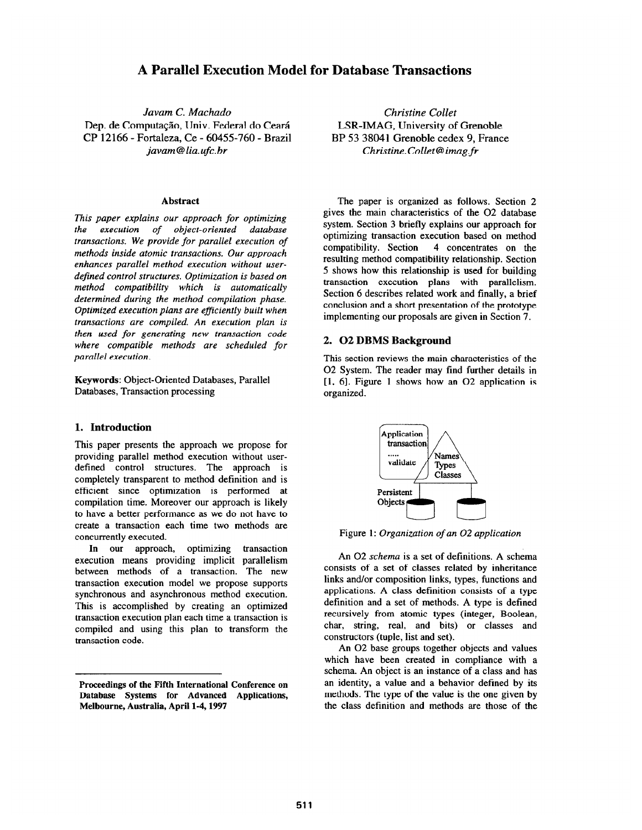# A Parallel Execution Model for Database Transactions

Javam C. Machado Christine Collet Dep. de Computação, Univ. Federal do Ceará LSR-IMAG, University of Grenoble CP 12166 - Fortaleza, Ce - 60455-760 - Brazil BP 53 38041 Grenoble cedex 9, France

### Abstract

This paper explains our approach for optimizing the execution of object-oriented database transactions. We provide for parallel execution of methods inside atomic transactions. Our approach enhances parallel method execution without userdefined control structures. Optimization is based on method compatibility which is automatically determined during the method compilation phase. Optimized execution plans are efficiently built when transactions are compiled. An execution plan is then used for generating new transaction code where compatible methods are scheduled for parallel execution.

Keywords: Object-Oriented Databases, Parallel Databases, Transaction processing

# 1. Introduction

This paper presents the approach we propose for providing parallel method execution without userdefined control structures. The approach is completely transparent to method definition and is efficient since optimization is performed at compilation time. Moreover our approach is likely to have a better performance as we do not have to create a transaction each time two methods are concurrently executed.

In our approach, optimizing transaction execution means providing implicit parallelism between methods of a transaction. The new transaction execution model we propose supports synchronous and asynchronous method execution. This is accomplished by creating an optimized transaction execution plan each time a transaction is compiled and using this plan to transform the transaction code.

javam @ lia.ufc.br Christine.Collet@imag.fr

The paper is organized as follows. Section 2 gives the main characteristics of the 02 database system. Section 3 briefly explains our approach for optimizing transaction execution based on method compatibility. Section 4 concentrates on the resulting method compatibility relationship. Section 5 shows how this relationship is used for building transaction execution plans with parallelism. Section 6 describes related work and finally, a brief conclusion and a short presentation of the prototype implementing our proposals are given in Section 7.

# 2. 02 DBMS Background

This section reviews the main characteristics of the 02 System. The reader may find further details in  $[1, 6]$ . Figure 1 shows how an O2 application is organized.



Figure 1: Organization of an 02 application

An 02 schema is a set of definitions. A schema consists of a set of classes related by inheritance links and/or composition links, types, functions and applications. A class definition consists of a type definition and a set of methods. A type is defined recursively from atomic types (integer, Boolean, char, string, real, and bits) or classes and constructors (tuple, list and set).

An 02 base groups together objects and values which have been created in compliance with a schema. An object is an instance of a class and has an identity, a value and a behavior defined by its methods. The type of the value is the one given by the class definition and methods are those of the

Proceedings of the Fifth International Conference on Database Systems for Advanced Applications, Melbourne, Australia, April l-4,1997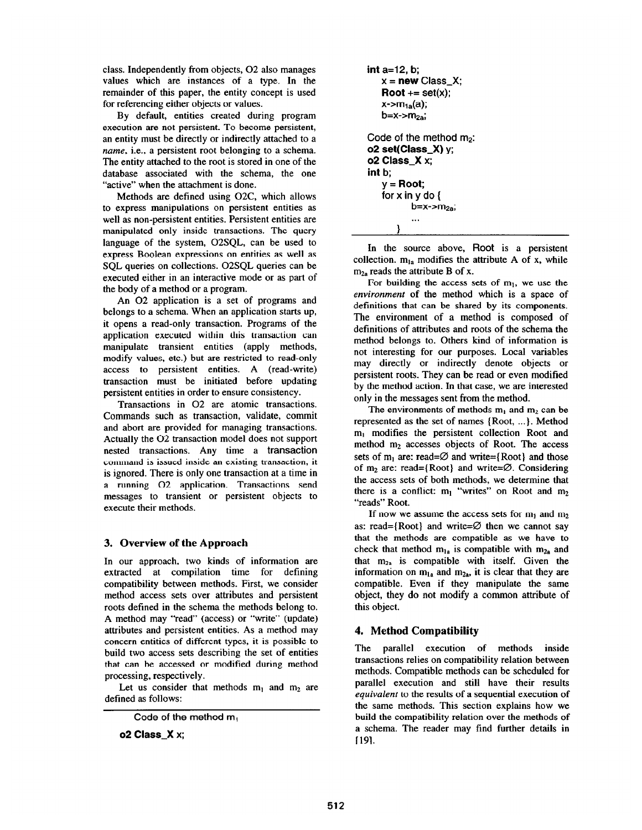class. Independently from objects, 02 also manages values which are instances of a type. In the remainder of this paper, the entity concept is used for referencing either objects or values.

By default, entities created during program execution are not persistent. To become persistent, an entity must be directly or indirectly attached to a name, i.e., a persistent root belonging to a schema. The entity attached to the root is stored in one of the database associated with the schema, the one "active" when the attachment is done.

Methods are defined using 02C, which allows to express manipulations on persistent entities as well as non-persistent entities. Persistent entities are manipulated only inside transactions. The query language of the system, 02SQL, can be used to express Boolean expressions on entities as well as SQL queries on collections. OZSQL queries can be executed either in an interactive mode or as part of the body of a method or a program.

An 02 application is a set of programs and belongs to a schema. When an application starts up, it opens a read-only transaction. Programs of the application executed within this transaction can manipulate transient entities (apply methods, modify values, etc.) but are restricted to read-only access to persistent entities. A (read-write) transaction must be initiated before updating persistent entities in order to ensure consistency.

Transactions in 02 are atomic transactions. Commands such as transaction, validate, commit and abort are provided for managing transactions. Actually the 02 transaction model does not support nested transactions. Any time a transaction command is issued inside an existing transaction, it is ignored. There is only one transaction at a time in a running 02 application. Transactions send messages to transient or persistent objects to execute their methods.

# 3. Overview of the Approach

In our approach, two kinds of information are extracted at compilation time for defining compatibility between methods. First, we consider method access sets over attributes and persistent roots defined in the schema the methods belong to. A method may "read" (access) or "write" (update) attributes and persistent entities. As a method may concern entities of different types, it is possible to build two access sets describing the set of entities that can be accessed or modified during method processing, respectively.

Let us consider that methods  $m_1$  and  $m_2$  are defined as follows:

Code of the method  $m_1$ 

02 Class-X x;

```
int a=12, b; 
   x = new Class_X;Root += set(x);x\rightarrow m_{1a}(a);b=x-<i>m</i><sub>2a</sub>;Code of the method m_2:
o2 set(Class_X) y;
o2 Class_X x;
int b; 
   y = Root;for x in y do \{b=x-m<sub>2a</sub>;
            . . .
```
3

In the source above, Root is a persistent collection.  $m_{1a}$  modifies the attribute A of x, while  $m<sub>2a</sub>$  reads the attribute B of x.

For building the access sets of  $m_1$ , we use the environment of the method which is a space of definitions that can be shared by its components. The environment of a method is composed of definitions of attributes and roots of the schema the method belongs to. Others kind of information is not interesting for our purposes. Local variables may directly or indirectly denote objects or persistent roots. They can be read or even modified by the method action. In that case, we are interested only in the messages sent from the method.

The environments of methods  $m_1$  and  $m_2$  can be represented as the set of names {Root, ...}. Method  $m_1$  modifies the persistent collection Root and method m<sub>2</sub> accesses objects of Root. The access sets of m<sub>l</sub> are: read= $\varnothing$  and write={Root} and those of  $m_2$  are: read={Root} and write= $\emptyset$ . Considering the access sets of both methods, we determine that there is a conflict:  $m_1$  "writes" on Root and  $m_2$ "reads" Root.

If now we assume the access sets for  $m_1$  and  $m_2$ as: read={Root} and write= $\varnothing$  then we cannot say that the methods are compatible as we have to check that method  $m_{1a}$  is compatible with  $m_{2a}$  and that  $m_{2a}$  is compatible with itself. Given the information on  $m_{1a}$  and  $m_{2a}$ , it is clear that they are compatible. Even if they manipulate the same object, they do not modify a common attribute of this object.

# 4. Method Compatibility

The parallel execution of methods inside transactions relies on compatibility relation between methods. Compatible methods can be scheduled for parallel execution and still have their results equivalent to the results of a sequential execution of the same methods. This section explains how we build the compatibility relation over the methods of a schema. The reader may find further details in [191.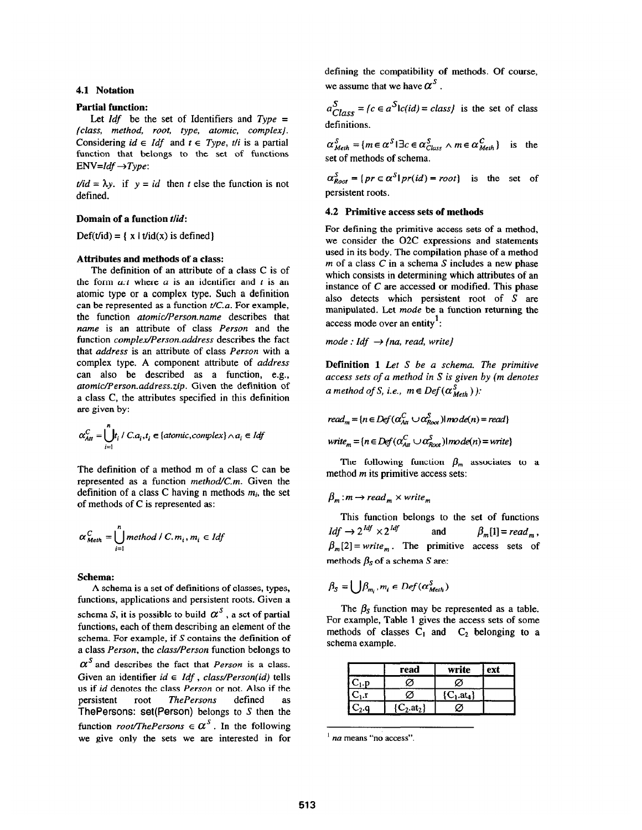### 4.1 Notation

#### Partial function:

Let  $Idf$  be the set of Identifiers and  $Type =$ {class, method, root, type, atomic, complex). Considering  $id \in Idf$  and  $t \in Type$ , the is a partial function that belongs to the set of functions  $ENV=Idf \rightarrow Type$ :

 $t/id = \lambda y$ . if  $y = id$  then t else the function is not defined.

### Domain of a function t/id:

 $Def(t/d) = {x \mid t/d(x) \text{ is defined}}$ 

#### Attributes and methods of a class:

The definition of an attribute of a class C is of the form  $a$ :t where  $a$  is an identifier and t is an atomic type or a complex type. Such a definition can be represented as a function  $t/C.a$ . For example, the function atomic/Person.name describes that name is an attribute of class Person and the function complex/Person.address describes the fact that address is an attribute of class Person with a complex type. A component attribute of address can also be described as a function, e.g., afomic/Person.address.zip. Given the definition of a class C, the attributes specified in this definition are given by:

$$
\alpha_{\text{Art}}^{C} = \bigcup_{i=1}^{n} t_i / C.a_i, t_i \in \{atomic, complex\} \land a_i \in \text{Idf}
$$

The definition of a method m of a class C can be represented as a function method/ $C$ .m. Given the definition of a class C having n methods  $m_i$ , the set of methods of C is represented as:

$$
\alpha_{\text{Meth}}^C = \bigcup_{i=1}^n \text{method } I \subset m_i, m_i \in \text{Idf}
$$

#### Schema:

 $\overline{a}$ 

A schema is a set of definitions of classes, types, functions, applications and persistent roots. Given a schema S, it is possible to build  $\alpha^{s}$ , a set of partial functions, each of them describing an element of the schema. For example, if S contains the definition of a class Person, the class/Person function belongs to  $\alpha^{S}$  and describes the fact that *Person* is a class. Given an identifier  $id \in \text{Idf}$ , class/Person(id) tells us if id denotes the class Person or not. Also if the persistent root The Persons defined as ThePersons defined as ThePersons:  $set(Person)$  belongs to S then the function *root/ThePersons*  $\in \alpha^S$ . In the following we give only the sets we are interested in for defining the compatibility of methods. Of course, we assume that we have  $\alpha^s$ .

 $a_{Class}^S = \{c \in a^S \mid c(id) = class\}$  is the set of class definitions.

 $\alpha_{\text{Meth}}^S = \{m \in \alpha^S \mid \exists c \in \alpha_{\text{Class}}^S \land m \in \alpha_{\text{Meth}}^C\}$  is the set of methods of schema.

 $\alpha_{Root}^S = \{ pr \in \alpha^S \mid pr(id) = root \}$  is the set of persistent roots.

#### 4.2 Primitive access sets of methods

For defining the primitive access sets of a method, we consider the 02C expressions and statements used in its body. The compilation phase of a method  $m$  of a class  $C$  in a schema  $S$  includes a new phase which consists in determining which attributes of an instance of C are accessed or modified. This phase also detects which persistent root of S are manipulated. Let mode be a function returning the access mode over an entity<sup>1</sup>:

mode : Idf  $\rightarrow$  {na, read, write}

Definition 1 Let S be a schema. The primitive access sets of a method in S is given by (m denotes a method of S, i.e.,  $m \in Def(\alpha_{Meth}^S)$ :

$$
read_m = \{n \in Def(\alpha_{An}^C \cup \alpha_{Root}^S) | mode(n) = read\}
$$
  
write<sub>m</sub> = \{n \in Def(\alpha\_{An}^C \cup \alpha\_{Root}^S) | mode(n) = write\}

The following function  $\beta_m$  associates to a method m its primitive access sets:

$$
\beta_m\!:\!m\!\rightarrow read_m\times write_m
$$

This function belongs to the set of functions  $Idf \rightarrow 2^{1df} \times 2^{1df}$  and  $\beta_m[1] = read_m$ ,  $\beta_m[2]$  = write<sub>m</sub>. The primitive access sets of methods  $\beta_s$  of a schema S are:

$$
\beta_{S} = \bigcup \beta_{m_i}, m_i \in Def(\alpha_{Method}^{S})
$$

The  $\beta_s$  function may be represented as a table. For example, Table 1 gives the access sets of some methods of classes  $C_1$  and  $C_2$  belonging to a schema example.

|                                 | read                     | write                | ext |
|---------------------------------|--------------------------|----------------------|-----|
| $\mathbf{C}_{1}$ . $\mathbf{p}$ | ろ                        | Ø                    |     |
| $C_1.r$                         | Ø                        | ${C_1 \text{.at}_4}$ |     |
|                                 | $C_2$ .at <sub>2</sub> } | Δ                    |     |

 $<sup>1</sup>$  na means "no access".</sup>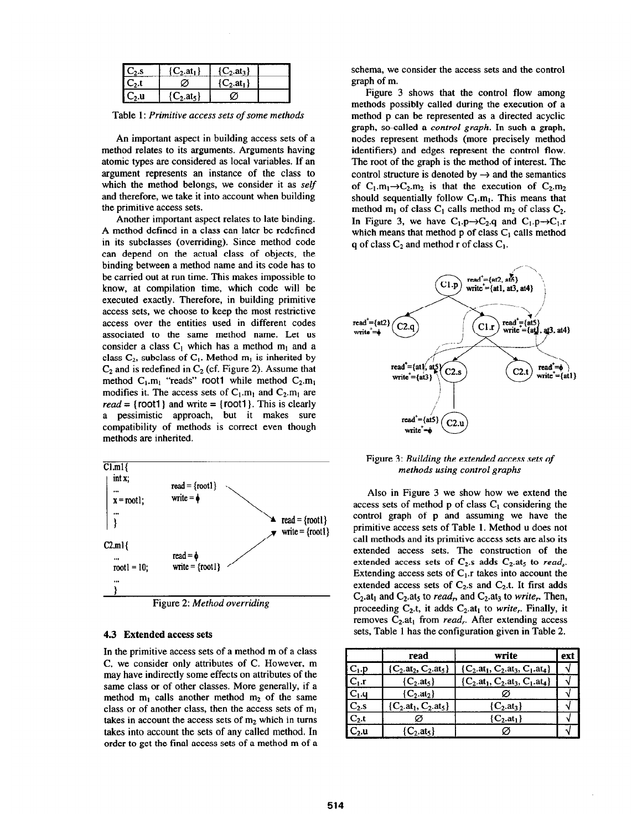|             | $C_2$ .at <sub>1</sub>      | $C_2$ .at <sub>3</sub>     |  |
|-------------|-----------------------------|----------------------------|--|
|             | z                           | ${C_2}$ .at <sub>1</sub> } |  |
| - 11<br>-2. | $C_2$ .at <sub>5</sub> $\}$ |                            |  |

Table 1: Primitive access sets of some methods

An important aspect in building access sets of a method relates to its arguments. Arguments having atomic types are considered as local variables. If an argument represents an instance of the class to which the method belongs, we consider it as self and therefore, we take it into account when building the primitive access sets.

Another important aspect relates to late binding. A method defined in a class can later be redefined in its subclasses (overriding). Since method code can depend on the actual class of objects, the binding between a method name and its code has to be carried out at run time. This makes impossible to know, at compilation time, which code will be executed exactly. Therefore, in building primitive access sets, we choose to keep the most restrictive access over the entities used in different codes associated to the same method name. Let us consider a class  $C_1$  which has a method m<sub>1</sub> and a class  $C_2$ , subclass of  $C_1$ . Method  $m_1$  is inherited by  $C_2$  and is redefined in  $C_2$  (cf. Figure 2). Assume that method  $C_1.m_1$  "reads" root1 while method  $C_2.m_1$ modifies it. The access sets of  $C_1.m_1$  and  $C_2.m_1$  are read = {root1} and write = {root1}. This is clearly a pessimistic approach, but it makes sure compatibility of methods is correct even though methods are inherited.



### 4.3 Extended access sets

In the primitive access sets of a method m of a class C, we consider only attributes of C. However, m may have indirectly some effects on attributes of the same class or of other classes. More generally, if a method  $m_1$  calls another method  $m_2$  of the same class or of another class, then the access sets of  $m_1$ takes in account the access sets of  $m_2$  which in turns takes into account the sets of any called method. In order to get the final access sets of a method m of a schema, we consider the access sets and the control graph of m.

Figure 3 shows that the control flow among methods possibly called during the execution of a method p can be represented as a directed acyclic graph, so-called a control graph. In such a graph, nodes represent methods (more precisely method identifiers) and edges represent the control flow. The root of the graph is the method of interest. The control structure is denoted by  $\rightarrow$  and the semantics of  $C_1.m_1\rightarrow C_2.m_2$  is that the execution of  $C_2.m_2$ should sequentially follow  $C_1.m_1$ . This means that method  $m_1$  of class  $C_1$  calls method  $m_2$  of class  $C_2$ . In Figure 3, we have  $C_1.p \rightarrow C_2.q$  and  $C_1.p \rightarrow C_1.r$ which means that method  $p$  of class  $C<sub>1</sub>$  calls method q of class  $C_2$  and method r of class  $C_1$ .



#### Figure 3: Building the extended access sets of methods using control graphs

Also in Figure 3 we show how we extend the access sets of method p of class  $C_1$  considering the control graph of p and assuming we have the primitive access sets of Table 1. Method u does not call methods and its primitive access sets are also its extended access sets. The construction of the extended access sets of  $C_2$  adds  $C_2$  at<sub>5</sub> to *read*<sub>s</sub>. Extending access sets of  $C_1$ .r takes into account the extended access sets of  $C_2$ .s and  $C_2$ .t. It first adds  $C_2$ , at<sub>1</sub> and  $C_2$ , at<sub>5</sub> to *read<sub>r</sub>*, and  $C_2$ , at<sub>3</sub> to *write<sub>r</sub>*. Then, proceeding  $C_2$ t, it adds  $C_2$ at<sub>1</sub> to *write<sub>r</sub>*. Finally, it removes  $C_2$  at<sub>1</sub> from *read<sub>r</sub>*. After extending access sets, Table 1 has the configuration given in Table 2.

|                   | read                                     | write                                                      | ext |
|-------------------|------------------------------------------|------------------------------------------------------------|-----|
| $C_1.p$           | $\{C_2 \text{ at}_2, C_2 \text{ at}_5\}$ | $\{C_2 \text{.at}_1, C_2 \text{.at}_3, C_1 \text{.at}_4\}$ |     |
| $C_1.r$           | $\{C_2$ .at <sub>5</sub> $\}$            | $\{C_2.at_1, C_2.at_3, C_1.at_4\}$                         |     |
| $ C_1.q$          | $\{C_2 \text{at}_2\}$                    |                                                            |     |
| $C_2.s$           | $\{C_2 \text{.at}_1, C_2 \text{.at}_5\}$ | ${C_2$ .at <sub>3</sub> }                                  |     |
| $C_2.t$           |                                          | ${C_2} . at_1$                                             |     |
| $\mathrm{C}_2$ .u | $\{C_2, at_5\}$                          |                                                            |     |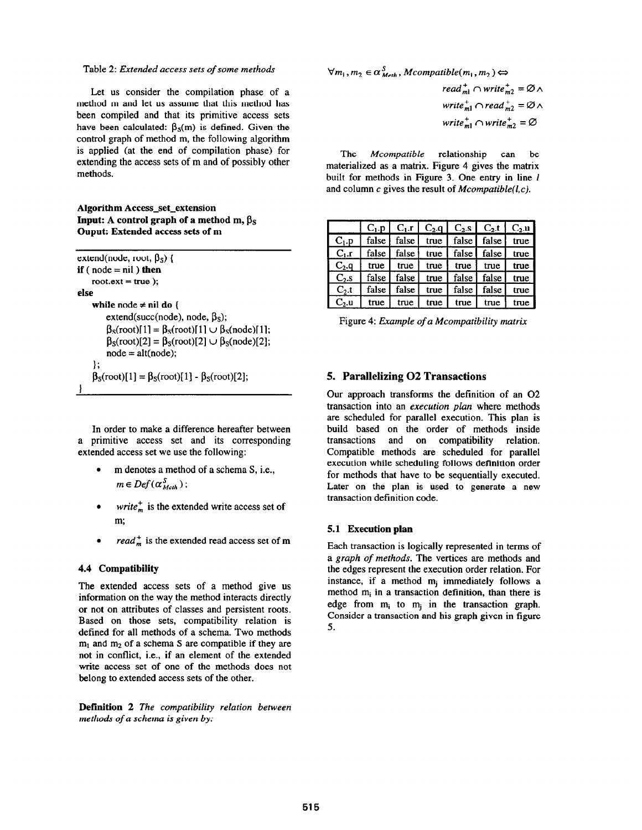### Table 2: Extended access sets of some methods

Let us consider the compilation phase of a method m and let us assume that this method has been compiled and that its primitive access sets have been calculated:  $\beta_s(m)$  is defined. Given the control graph of method m, the following algorithm is applied (at the end of compilation phase) for extending the access sets of m and of possibly other methods.

## Algorithm Access-set-extension Input: A control graph of a method m,  $\beta_S$ Ouput: Extended access sets of m

| extend(node, root, $\beta_s$ ) {                                                                                           |
|----------------------------------------------------------------------------------------------------------------------------|
| <b>if</b> (node $=$ nil) then                                                                                              |
| root.ext = true $)$ ;                                                                                                      |
| else                                                                                                                       |
| while node $\neq$ nil do {                                                                                                 |
| extend(succ(node), node, $\beta_s$ );                                                                                      |
| $\beta_{\rm s}(\text{root})[1] = \beta_{\rm s}(\text{root})[1] \cup \beta_{\rm s}(\text{node})[1];$                        |
| $\beta_{\rm S}(\text{root})[2] = \beta_{\rm S}(\text{root})[2] \cup \beta_{\rm S}(\text{node})[2];$<br>$node = alt(node);$ |
| ١.                                                                                                                         |
| $\beta_{s}(\text{root})[1] = \beta_{s}(\text{root})[1] - \beta_{s}(\text{root})[2];$                                       |
|                                                                                                                            |

In order to make a difference hereafter between a primitive access set and its corresponding extended access set we use the following:

- . m denotes a method of a schema S, i.e.,  $m \in Def(\alpha_{Meth}^S)$ ;
- write<sup>+</sup> is the extended write access set of m;
- read<sup>+</sup> is the extended read access set of m

## 4.4 Compatibility

The extended access sets of a method give us information on the way the method interacts directly or not on attributes of classes and persistent roots. Based on those sets, compatibility relation is defined for all methods of a schema. Two methods  $m_1$  and  $m_2$  of a schema S are compatible if they are not in conflict, i.e., if an element of the extended write access set of one of the methods does not belong to extended access sets of the other.

Definition 2 The compatibility relation between methods of a schema is given by:

$$
\forall m_1, m_2 \in \alpha_{\text{Meth}}^S, \text{Mcompatible}(m_1, m_2) \Leftrightarrow
$$
\n
$$
\text{read}_{m1}^+ \cap \text{write}_{m2}^+ = \varnothing \land
$$
\n
$$
\text{write}_{m1}^+ \cap \text{read}_{m2}^+ = \varnothing \land
$$
\n
$$
\text{write}_{m1}^+ \cap \text{write}_{m2}^+ = \varnothing
$$

The Mcompatible relationship can be materialized as a matrix. Figure 4 gives the matrix built for methods in Figure 3. One entry in line *l* and column  $c$  gives the result of *Mcompatible(l,c)*.

|          |       |         |      |         | $C_1$ p   $C_1$ r   $C_2$ q   $C_2$ s   $C_2$ t   $C_2$ u |      |
|----------|-------|---------|------|---------|-----------------------------------------------------------|------|
| $C_1.p$  | false | false l | true |         | false   false                                             | true |
| $C_1.r$  | false | false   | true |         | false false                                               | true |
| $C_2$ .q | true  | true    | true | true    | true                                                      | true |
| $C_2.s$  | false | false   | true | false l | false                                                     | true |
| $C_2$ ,t | false | false   | true | false   | false                                                     | true |
| $C_2.u$  | true  | true    | true | true    | true                                                      | true |

Figure 4: Example of a Mcompatibility matrix

# 5. Parallelizing 02 Transactions

Our approach transforms the definition of an 02 transaction into an execution plan where methods are scheduled for parallel execution. This plan is build based on the order of methods inside transactions and on compatibility relation. Compatible methods are scheduled for parallel execution while scheduling follows definition order for methods that have to be sequentially executed. Later on the plan is used to generate a new transaction definition code.

### 5.1 Execution plan

Each transaction is logically represented in terms of a graph of methods. The vertices are methods and the edges represent the execution order relation. For instance, if a method  $m_j$  immediately follows a method  $m_i$  in a transaction definition, than there is edge from  $m_i$  to  $m_j$  in the transaction graph. Consider a transaction and his graph given in figure 5.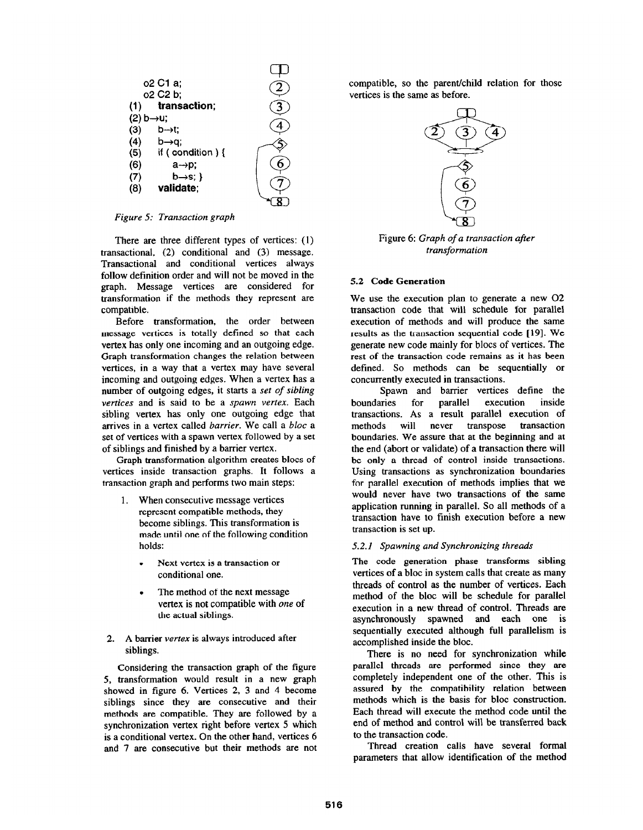

Figure 5: Transaction graph

There are three different types of vertices: (1) transactional, (2) conditional and (3) message. Transactional and conditional vertices always follow definition order and will not be moved in the graph. Message vertices are considered for transformation if the methods they represent are compatible.

Before transformation, the order between message vertices is totally defined so that each vertex has only one incoming and an outgoing edge. Graph transformation changes the relation between vertices, in a way that a vertex may have several incoming and outgoing edges. When a vertex has a number of outgoing edges, it starts a set of sibling vertices and is said to be a spawn vertex. Each sibling vertex has only one outgoing edge that arrives in a vertex called barrier. We call a bloc a set of vertices with a spawn vertex followed by a set of siblings and finished by a barrier vertex.

Graph transformation algorithm creates blocs of vertices inside transaction graphs. It follows a transaction graph and performs two main steps:

- 1. When consecutive message vertices represent compatible methods, they become siblings. This transformation is made until one of the following condition holds:
	- . Next vertex is a transaction or conditional one.
	- The method of the next message vertex is not compatible with one of the actual siblings.
- 2. A barrier vertex is always introduced after siblings.

Considering the transaction graph of the figure 5, transformation would result in a new graph showed in figure 6. Vertices 2, 3 and 4 become siblings since they are consecutive and their methods are compatible. They are followed by a synchronization vertex right before vertex 5 which is a conditional vertex. On the other hand, vertices 6 and 7 are consecutive but their methods are not compatible, so the parent/child relation for those vertices is the same as before.



Figure 6: Graph of a transaction after transformation

### 5.2 Code Generation

We use the execution plan to generate a new 02 transaction code that will schedule for parallel execution of methods and will produce the same results as the transaction sequential code [19]. We generate new code mainly for blocs of vertices. The rest of the transaction code remains as it has been defined. So methods can be sequentially or concurrently executed in transactions.

Spawn and barrier vertices define the<br>
intes for parallel execution inside boundaries for parallel transactions. As a result parallel execution of never transpose boundaries. We assure that at the beginning and at the end (abort or validate) of a transaction there will be only a thread of control inside transactions. Using transactions as synchronization boundaries for parallel execution of methods implies that we would never have two transactions of the same application running in parallel. So all methods of a transaction have to finish execution before a new transaction is set up.

## 5.2.1 Spawning and Synchronizing threads

The code generation phase transforms sibling vertices of a bloc in system calls that create as many threads of control as the number of vertices. Each method of the bloc will be schedule for parallel execution in a new thread of control. Threads are asynchronously spawned and each one is sequentially executed although full parallelism is accomplished inside the bloc.

There is no need for synchronization while parallel threads are performed since they are completely independent one of the other. This is assured by the compatibility relation between methods which is the basis for bloc construction. Each thread will execute the method code until the end of method and control will be transferred back to the transaction code.

Thread creation calls have several formal parameters that allow identification of the method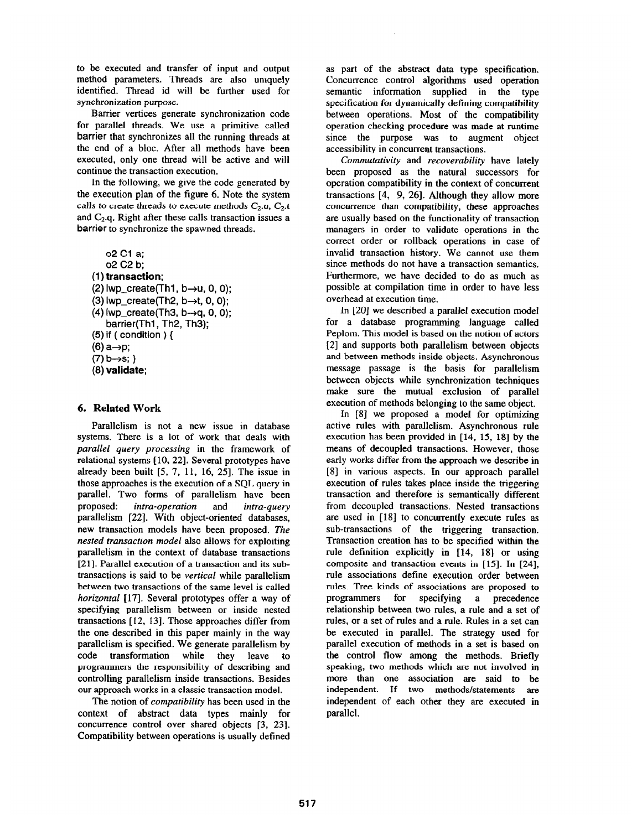to be executed and transfer of input and output method parameters. Threads are also uniquely identified. Thread id will be further used for synchronization purpose.

Barrier vertices generate synchronization code for parallel threads. We use a primitive called barrier that synchronizes all the running threads at the end of a bloc. After all methods have been executed, only one thread will be active and will continue the transaction execution.

In the following, we give the code generated by the execution plan of the figure 6. Note the system calls to create threads to execute methods  $C_2.u$ ,  $C_2.t$ and  $C_2$ .q. Right after these calls transaction issues a barrier to synchronize the spawned threads.

02 Cl a; 02 C2 b; (1) transaction: (2)  $IWD\_create(Th1, b\rightarrow u, 0, 0);$ (3) Iwp create(Th2,  $b\rightarrow t$ , 0, 0);  $(4)$  Iwp create(Th3, b $\rightarrow$ q, 0, 0); barrier(Th1, Th2, Th3); (5) if ( condition  $\}$  {  $(6)$  a  $\rightarrow$ p;  $(7) b \rightarrow s$ ; } (6) validate;

# 6. Related Work

Parallelism is not a new issue in database systems. There is a lot of work that deals with parallel query processing in the framework of relational systems [10, 22]. Several prototypes have already been built  $[5, 7, 11, 16, 25]$ . The issue in those approaches is the execution of a SQL query in parallel. Two forms of parallelism have been proposed: intra-operation and intra-query parallelism [22]. With object-oriented databases, new transaction models have been proposed. The nested transaction model also allows for exploiting parallelism in the context of database transactions [21]. Parallel execution of a transaction and its subtransactions is said to be vertical while parallelism between two transactions of the same level is called horizontal [17]. Several prototypes offer a way of specifying parallelism between or inside nested transactions [12, 131. Those approaches differ from the one described in this paper mainly in the way parallelism is specified. We generate parallelism by code transformation while they leave to programmers the responsibility of describing and controlling parallelism inside transactions. Besides our approach works in a classic transaction model.

The notion of *compatibility* has been used in the context of abstract data types mainly for concurrence control over shared objects [3, 231. Compatibility between operations is usually defined

as part of the abstract data type specification. Concurrence control algorithms used operation semantic information supplied in the type specification for dynamically defining compatibility between operations. Most of the compatibility operation checking procedure was made at runtime since the purpose was to augment object accessibility in concurrent transactions.

Commutativity and recoverability have lately been proposed as the natural successors for operation compatibility in the context of concurrent transactions  $[4, 9, 26]$ . Although they allow more concurrence than compatibility, these approaches are usually based on the functionality of transaction managers in order to validate operations in the correct order or rollback operations in case of invalid transaction history. We cannot use them since methods do not have a transaction semantics. Furthermore, we have decided to do as much as possible at compilation time in order to have less overhead at execution time.

In [20] we described a parallel execution model for a database programming language called Peplom. This model is based on the notion of actors [2] and supports both parallelism between objects and between methods inside objects. Asynchronous message passage is the basis for parallelism between objects while synchronization techniques make sure the mutual exclusion of parallel execution of methods belonging to the same object.

In [8] we proposed a model for optimizing active rules with parallelism. Asynchronous rule execution has been provided in  $[14, 15, 18]$  by the means of decoupled transactions. However, those early works differ from the approach we describe in [8] in various aspects. In our approach parallel execution of rules takes place inside the triggering transaction and therefore is semantically different from decoupled transactions. Nested transactions are used in [18] to concurrently execute rules as sub-transactions of the triggering transaction. Transaction creation has to be specified within the rule definition explicitly in [14, 181 or using composite and transaction events in [15]. In [24], rule associations define execution order between rules. Tree kinds of associations are proposed to programmers for specifying a precedence relationship between two rules, a rule and a set of rules, or a set of rules and a rule. Rules in a set can be executed in parallel. The strategy used for parallel execution of methods in a set is based on the control flow among the methods. Briefly speaking, two methods which are not involved in more than one association are said to be independent. If two methods/statements are independent of each other they are executed in parallel.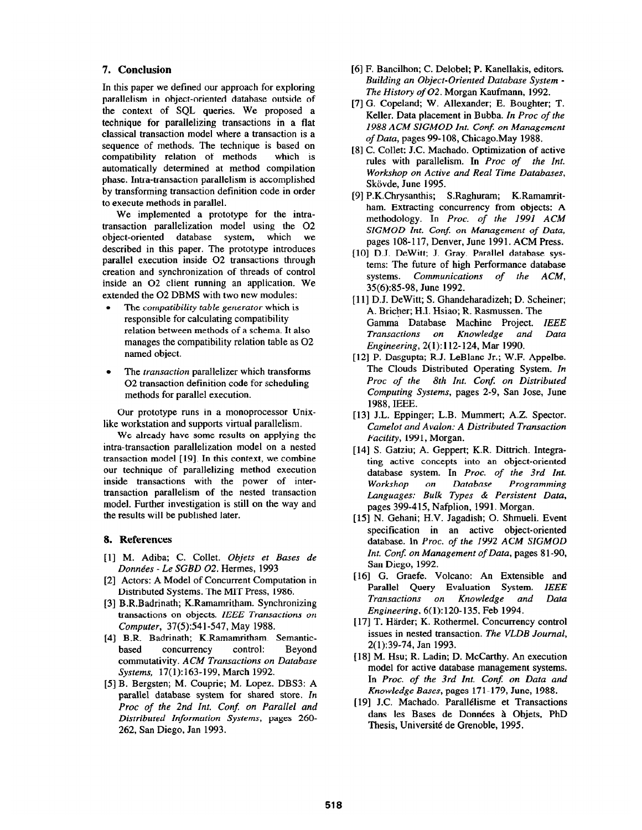## 7. Conclusion

In this paper we defined our approach for exploring parallelism in object-oriented database outside of the context of SQL queries. We proposed a technique for parallelizing transactions in a flat classical transaction model where a transaction is a sequence of methods. The technique is based on compatibility relation of methods which is compatibility relation of methods automatically determined at method compilation phase. Intra-transaction parallelism is accomplished by transforming transaction definition code in order to execute methods in parallel.

We implemented a prototype for the intratransaction parallelization model using the 02 object-oriented database system, which we described in this paper. The prototype introduces parallel execution inside 02 transactions through creation and synchronization of threads of control inside an 02 client running an application. We extended the 02 DBMS with two new modules:

- The compatibility table generator which is responsible for calculating compatibility relation between methods of a schema. It also manages the compatibility relation table as 02 named object.
- The *transaction* parallelizer which transforms 02 transaction definition code for scheduling methods for parallel execution.

Our prototype runs in a monoprocessor Unixlike workstation and supports virtual parallelism.

We already have some results on applying the intra-transaction parallelization model on a nested transaction model [ 191. In this context, we combine our technique of parallelizing method execution inside transactions with the power of intertransaction parallelism of the nested transaction model. Further investigation is still on the way and the results will be published later.

### 8. References

- [l] M. Adiba; C. Collet. Objets et Bases de Données - Le SGBD 02. Hermes, 1993
- [2] Actors: A Model of Concurrent Computation in Distributed Systems. The MIT Press, 1986.
- [3] B.R.Badrinath; K.Ramamritham. Synchronizing transactions on objects. IEEE Transactions on Computer, 37(5):541-547, May 1988.
- [4] B.R. Badrinath; K.Ramamritham. Semanticbased concurrency control: Beyond commutativity. ACM Transactions on Database Systems, 17(1):163-199, March 1992.
- [5] B. Bergsten; M. Couprie; M. Lopez. DBS3: A parallel database system for shared store. In Proc of the 2nd Int. Conf. on Parallel and Distributed Information Systems, pages 260- 262, San Diego, Jan 1993.
- [6] F. Bancilhon; C. Delobel; P. Kanellakis, editors. Building an Object-Oriented Database System - The History of 02. Morgan Kaufmann, 1992.
- [7] G. Copeland; W. Allexander; E. Boughter; T. Keller. Data placement in Bubba. In Proc of the 1988 ACM SIGMOD Int. Conf. on Management of Data, pages 99-108, Chicago.May 1988.
- [8] C. Collet: J.C. Machado. Optimization of active rules with parallelism. In Proc of the Int. Workshop on Active and Real Time Databases, Skövde, June 1995.
- [9] P.K.Chrysanthis; S.Raghuram; K.Ramamritham. Extracting concurrency from objects: A methodology. In Proc. of the 1991 ACM SIGMOD Int. Conf. on Management of Data, pages 108-117, Denver, June 1991. ACM Press.
- [10] D.J. DeWitt; J. Gray. Parallel database systems: The future of high Performance database systems. Communications of the ACM, 35(6):85-98, June 1992.
- [11] D.J. DeWitt; S. Ghandeharadizeh; D. Scheiner; A. Bricher; H.I. Hsiao; R. Rasmussen. The Gamma Database Machine Project. IEEE Transactions on Knowledge and Data Engineering, 2( 1): 112-124, Mar 1990.
- [12] P. Dasgupta; R.J. LeBlanc Jr.; W.F. Appelbe. The Clouds Distributed Operating System. In Proc of the 8th Int. Conf. on Distributed Computing Systems, pages 2-9, San Jose, June 1988, IEEE.
- [13] J.L. Eppinger; L.B. Mummert; A.Z. Spector. Camelot and Avalon: A Distributed Transaction Facility, 1991, Morgan.
- [14] S. Gatziu; A. Geppert; K.R. Dittrich. Integrating active concepts into an object-oriented database system. In Proc. of the 3rd Int. Workshop on Database Programming Languages: Bulk Types & Persistent Data, pages 399-415, Nafplion, 1991. Morgan.
- [15] N. Gehani; H.V. Jagadish; 0. Shmueli. Event specification in an active object-oriented database. In Proc. of the 1992 ACM SIGMOD Int. Conf. on Management of Data, pages 81-90, San Diego, 1992.
- [16] G. Graefe. Volcano: An Extensible and Parallel Query Evaluation System. IEEE<br>Transactions on Knowledge and Data Transactions on Knowledge and Data Engineering, 6(1):120-135, Feb 1994.
- [17] T. Härder; K. Rothermel. Concurrency control issues in nested transaction. The VLDB Journal, 2(1):39-74, Jan 1993.
- [18] M. Hsu; R. Ladin; D. McCarthy. An execution model for active database management systems. In Proc. of the 3rd Int. Conf. on Data and Knowledge Bases, pages 171-179, June, 1988.
- [19] J.C. Machado. Parallélisme et Transactions dans les Bases de Données à Objets, PhD Thesis, Universite de Grenoble, 1995.